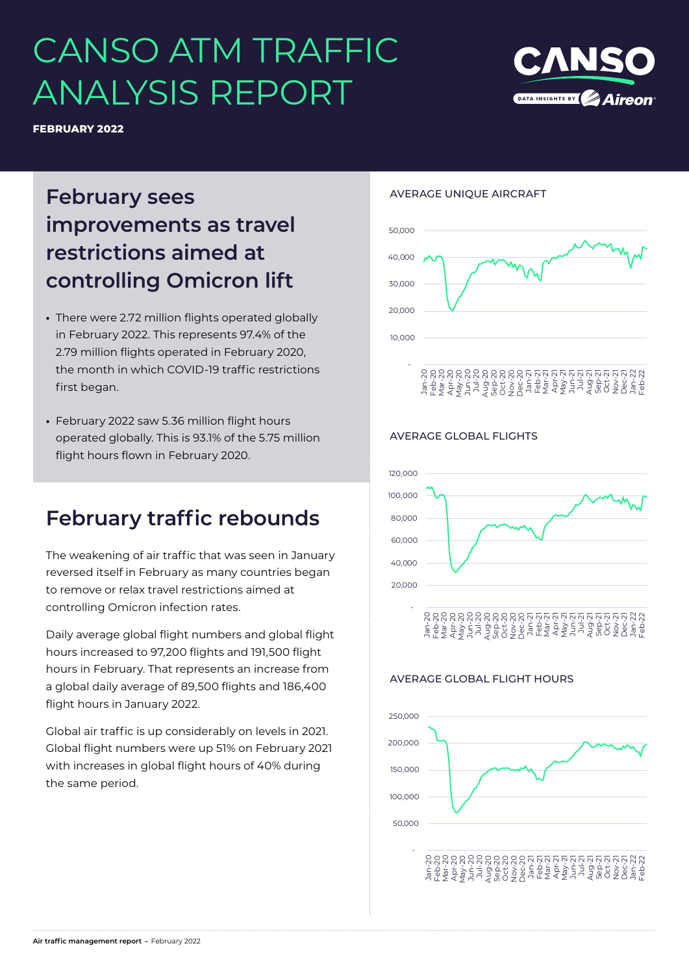# CANSO ATM TRAFFIC ANALYSIS REPORT

**FEBRUARY 2022**

## **February sees improvements as travel restrictions aimed at controlling Omicron lift**

- **•** There were 2.72 million flights operated globally in February 2022. This represents 97.4% of the 2.79 million flights operated in February 2020, the month in which COVID-19 traffic restrictions first began.
- **•** February 2022 saw 5.36 million flight hours operated globally. This is 93.1% of the 5.75 million flight hours flown in February 2020.

### **February traffic rebounds**

The weakening of air traffic that was seen in January reversed itself in February as many countries began to remove or relax travel restrictions aimed at controlling Omicron infection rates.

Daily average global flight numbers and global flight hours increased to 97,200 flights and 191,500 flight hours in February. That represents an increase from a global daily average of 89,500 flights and 186,400 flight hours in January 2022.

Global air traffic is up considerably on levels in 2021. Global flight numbers were up 51% on February 2021 with increases in global flight hours of 40% during the same period.

#### AVERAGE UNIQUE AIRCRAFT



#### AVERAGE GLOBAL FLIGHTS



#### AVERAGE GLOBAL FLIGHT HOURS



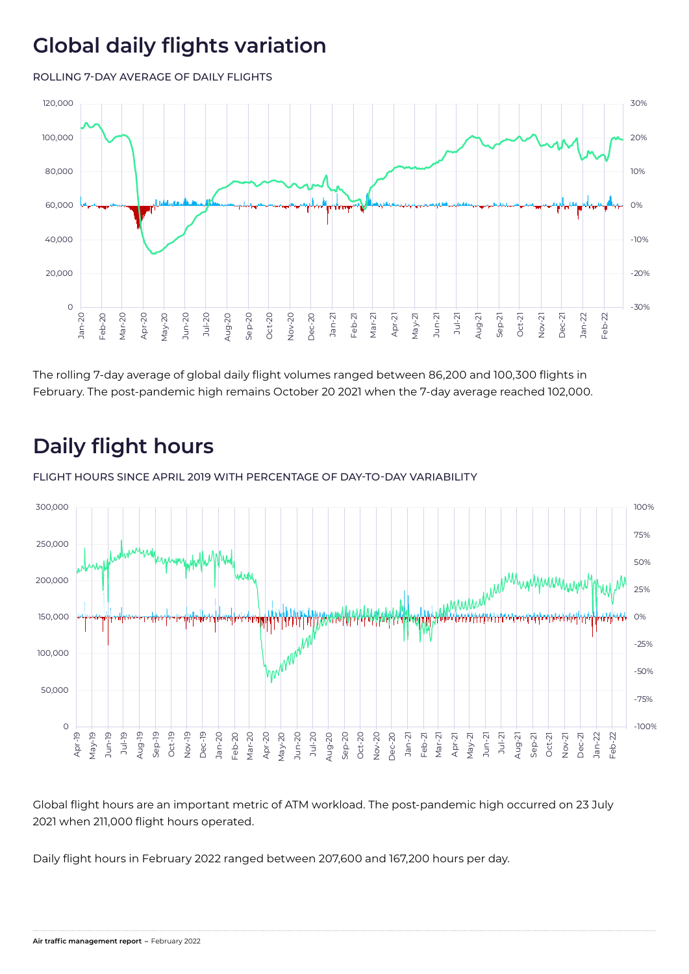# **Global daily flights variation**

ROLLING 7-DAY AVERAGE OF DAILY FLIGHTS



The rolling 7-day average of global daily flight volumes ranged between 86,200 and 100,300 flights in February. The post-pandemic high remains October 20 2021 when the 7-day average reached 102,000.

# **Daily flight hours**

FLIGHT HOURS SINCE APRIL 2019 WITH PERCENTAGE OF DAY-TO-DAY VARIABILITY



Global flight hours are an important metric of ATM workload. The post-pandemic high occurred on 23 July 2021 when 211,000 flight hours operated.

Daily flight hours in February 2022 ranged between 207,600 and 167,200 hours per day.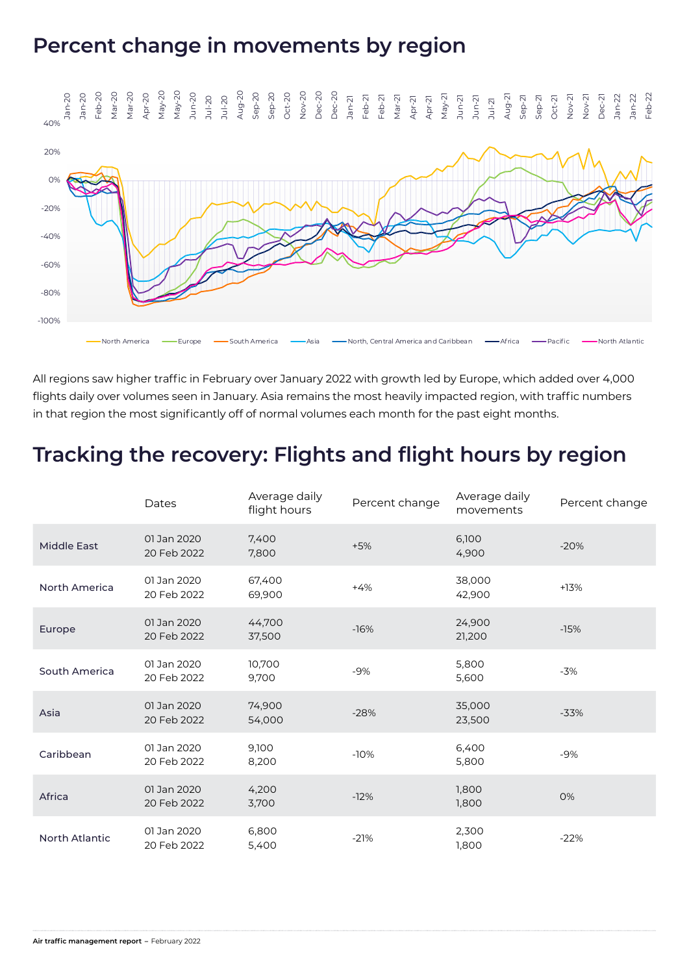### **Percent change in movements by region**



All regions saw higher traffic in February over January 2022 with growth led by Europe, which added over 4,000 flights daily over volumes seen in January. Asia remains the most heavily impacted region, with traffic numbers in that region the most significantly off of normal volumes each month for the past eight months.

### **Tracking the recovery: Flights and flight hours by region**

|                       | Dates                      | Average daily<br>flight hours | Percent change | Average daily<br>movements | Percent change |
|-----------------------|----------------------------|-------------------------------|----------------|----------------------------|----------------|
| <b>Middle East</b>    | 01 Jan 2020<br>20 Feb 2022 | 7,400<br>7,800                | $+5%$          | 6,100<br>4,900             | $-20%$         |
| North America         | 01 Jan 2020<br>20 Feb 2022 | 67,400<br>69,900              | $+4%$          | 38,000<br>42,900           | $+13%$         |
| Europe                | 01 Jan 2020<br>20 Feb 2022 | 44,700<br>37,500              | $-16%$         | 24,900<br>21,200           | $-15%$         |
| South America         | 01 Jan 2020<br>20 Feb 2022 | 10,700<br>9,700               | $-9%$          | 5,800<br>5,600             | $-3%$          |
| Asia                  | 01 Jan 2020<br>20 Feb 2022 | 74,900<br>54,000              | $-28%$         | 35,000<br>23,500           | $-33%$         |
| Caribbean             | 01 Jan 2020<br>20 Feb 2022 | 9,100<br>8,200                | $-10%$         | 6,400<br>5,800             | $-9%$          |
| Africa                | 01 Jan 2020<br>20 Feb 2022 | 4,200<br>3,700                | $-12%$         | 1,800<br>1,800             | 0%             |
| <b>North Atlantic</b> | 01 Jan 2020<br>20 Feb 2022 | 6,800<br>5,400                | $-21%$         | 2,300<br>1,800             | $-22%$         |